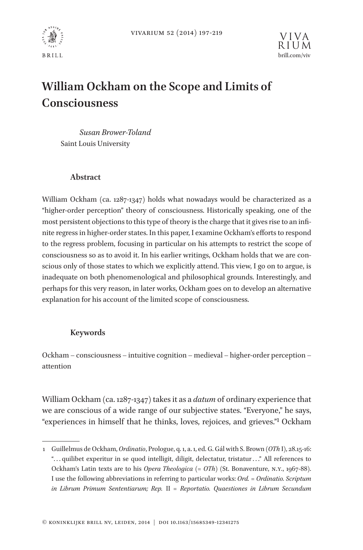



# **William Ockham on the Scope and Limits of Consciousness**

*Susan Brower-Toland* Saint Louis University

## **Abstract**

William Ockham (ca. 1287-1347) holds what nowadays would be characterized as a "higher-order perception" theory of consciousness. Historically speaking, one of the most persistent objections to this type of theory is the charge that it gives rise to an infinite regress in higher-order states. In this paper, I examine Ockham's efforts to respond to the regress problem, focusing in particular on his attempts to restrict the scope of consciousness so as to avoid it. In his earlier writings, Ockham holds that we are conscious only of those states to which we explicitly attend. This view, I go on to argue, is inadequate on both phenomenological and philosophical grounds. Interestingly, and perhaps for this very reason, in later works, Ockham goes on to develop an alternative explanation for his account of the limited scope of consciousness.

## **Keywords**

Ockham – consciousness – intuitive cognition – medieval – higher-order perception – attention

William Ockham (ca. 1287-1347) takes it as a *datum* of ordinary experience that we are conscious of a wide range of our subjective states. "Everyone," he says, "experiences in himself that he thinks, loves, rejoices, and grieves."1 Ockham

<sup>1</sup> Guillelmus de Ockham, *Ordinatio*, Prologue, q. 1, a. 1, ed. G. Gál with S. Brown (*OTh* I), 28.15-16: ". . . quilibet experitur in se quod intelligit, diligit, delectatur, tristatur . . ." All references to Ockham's Latin texts are to his *Opera Theologica* (= *OTh*) (St. Bonaventure, N.Y., 1967-88). I use the following abbreviations in referring to particular works: *Ord.* = *Ordinatio. Scriptum in Librum Primum Sententiarum; Rep.* II = *Reportatio. Quaestiones in Librum Secundum*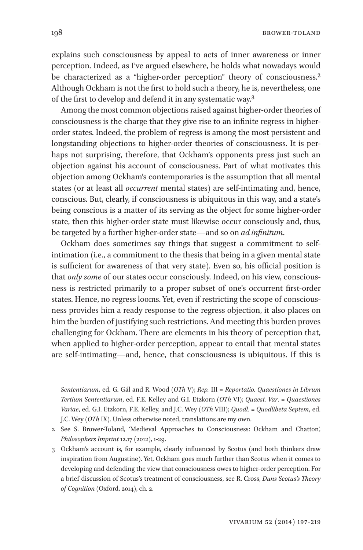198 browser to brow browser to brow browser to brow browser to brow browser to brow browser to brow browser to brow browser to brow browser to brow browser to brow browser to brow browser to brow browser to brow browser to

explains such consciousness by appeal to acts of inner awareness or inner perception. Indeed, as I've argued elsewhere, he holds what nowadays would be characterized as a "higher-order perception" theory of consciousness.<sup>2</sup> Although Ockham is not the first to hold such a theory, he is, nevertheless, one of the first to develop and defend it in any systematic way.3

Among the most common objections raised against higher-order theories of consciousness is the charge that they give rise to an infinite regress in higherorder states. Indeed, the problem of regress is among the most persistent and longstanding objections to higher-order theories of consciousness. It is perhaps not surprising, therefore, that Ockham's opponents press just such an objection against his account of consciousness. Part of what motivates this objection among Ockham's contemporaries is the assumption that all mental states (or at least all *occurrent* mental states) are self-intimating and, hence, conscious. But, clearly, if consciousness is ubiquitous in this way, and a state's being conscious is a matter of its serving as the object for some higher-order state, then this higher-order state must likewise occur consciously and, thus, be targeted by a further higher-order state—and so on *ad infinitum*.

Ockham does sometimes say things that suggest a commitment to selfintimation (i.e., a commitment to the thesis that being in a given mental state is sufficient for awareness of that very state). Even so, his official position is that *only some* of our states occur consciously. Indeed, on his view, consciousness is restricted primarily to a proper subset of one's occurrent first-order states. Hence, no regress looms. Yet, even if restricting the scope of consciousness provides him a ready response to the regress objection, it also places on him the burden of justifying such restrictions. And meeting this burden proves challenging for Ockham. There are elements in his theory of perception that, when applied to higher-order perception, appear to entail that mental states are self-intimating—and, hence, that consciousness is ubiquitous. If this is

*Sententiarum*, ed. G. Gál and R. Wood (*OTh* V); *Rep.* III = *Reportatio. Quaestiones in Librum Tertium Sententiarum*, ed. F.E. Kelley and G.I. Etzkorn (*OTh* VI); *Quaest. Var*. = *Quaestiones Variae*, ed. G.I. Etzkorn, F.E. Kelley, and J.C. Wey (*OTh* VIII); *Quodl.* = *Quodlibeta Septem*, ed. J.C. Wey (*OTh* IX). Unless otherwise noted, translations are my own.

<sup>2</sup> See S. Brower-Toland, 'Medieval Approaches to Consciousness: Ockham and Chatton', *Philosophers Imprint* 12.17 (2012), 1-29.

<sup>3</sup> Ockham's account is, for example, clearly influenced by Scotus (and both thinkers draw inspiration from Augustine). Yet, Ockham goes much further than Scotus when it comes to developing and defending the view that consciousness owes to higher-order perception. For a brief discussion of Scotus's treatment of consciousness, see R. Cross, *Duns Scotus's Theory of Cognition* (Oxford, 2014), ch. 2.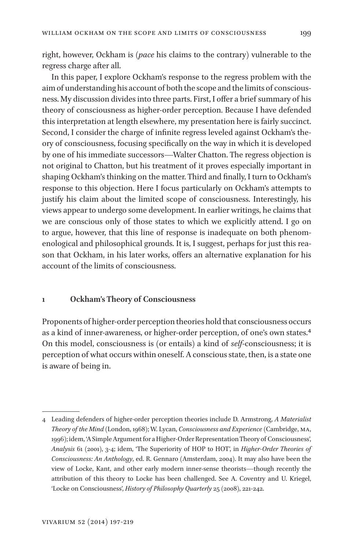right, however, Ockham is (*pace* his claims to the contrary) vulnerable to the regress charge after all.

In this paper, I explore Ockham's response to the regress problem with the aim of understanding his account of both the scope and the limits of consciousness. My discussion divides into three parts. First, I offer a brief summary of his theory of consciousness as higher-order perception. Because I have defended this interpretation at length elsewhere, my presentation here is fairly succinct. Second, I consider the charge of infinite regress leveled against Ockham's theory of consciousness, focusing specifically on the way in which it is developed by one of his immediate successors—Walter Chatton. The regress objection is not original to Chatton, but his treatment of it proves especially important in shaping Ockham's thinking on the matter. Third and finally, I turn to Ockham's response to this objection. Here I focus particularly on Ockham's attempts to justify his claim about the limited scope of consciousness. Interestingly, his views appear to undergo some development. In earlier writings, he claims that we are conscious only of those states to which we explicitly attend. I go on to argue, however, that this line of response is inadequate on both phenomenological and philosophical grounds. It is, I suggest, perhaps for just this reason that Ockham, in his later works, offers an alternative explanation for his account of the limits of consciousness.

### **1 Ockham's Theory of Consciousness**

Proponents of higher-order perception theories hold that consciousness occurs as a kind of inner-awareness, or higher-order perception, of one's own states.4 On this model, consciousness is (or entails) a kind of *self*-consciousness; it is perception of what occurs within oneself. A conscious state, then, is a state one is aware of being in.

<sup>4</sup> Leading defenders of higher-order perception theories include D. Armstrong, *A Materialist Theory of the Mind* (London, 1968); W. Lycan, *Consciousness and Experience* (Cambridge, MA, 1996); idem, 'A Simple Argument for a Higher-Order Representation Theory of Consciousness', *Analysis* 61 (2001), 3-4; idem, 'The Superiority of HOP to HOT', in *Higher-Order Theories of Consciousness: An Anthology*, ed. R. Gennaro (Amsterdam, 2004). It may also have been the view of Locke, Kant, and other early modern inner-sense theorists—though recently the attribution of this theory to Locke has been challenged. See A. Coventry and U. Kriegel, 'Locke on Consciousness', *History of Philosophy Quarterly* 25 (2008), 221-242.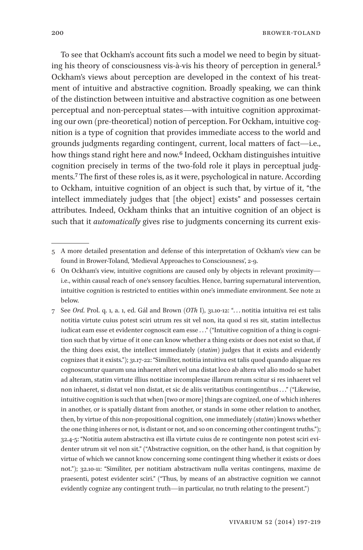To see that Ockham's account fits such a model we need to begin by situating his theory of consciousness vis-à-vis his theory of perception in general.5 Ockham's views about perception are developed in the context of his treatment of intuitive and abstractive cognition. Broadly speaking, we can think of the distinction between intuitive and abstractive cognition as one between perceptual and non-perceptual states—with intuitive cognition approximating our own (pre-theoretical) notion of perception. For Ockham, intuitive cognition is a type of cognition that provides immediate access to the world and grounds judgments regarding contingent, current, local matters of fact—i.e., how things stand right here and now.<sup>6</sup> Indeed, Ockham distinguishes intuitive cognition precisely in terms of the two-fold role it plays in perceptual judgments.7 The first of these roles is, as it were, psychological in nature. According to Ockham, intuitive cognition of an object is such that, by virtue of it, "the intellect immediately judges that [the object] exists" and possesses certain attributes. Indeed, Ockham thinks that an intuitive cognition of an object is such that it *automatically* gives rise to judgments concerning its current exis-

<sup>5</sup> A more detailed presentation and defense of this interpretation of Ockham's view can be found in Brower-Toland, 'Medieval Approaches to Consciousness', 2-9.

<sup>6</sup> On Ockham's view, intuitive cognitions are caused only by objects in relevant proximity i.e., within causal reach of one's sensory faculties. Hence, barring supernatural intervention, intuitive cognition is restricted to entities within one's immediate environment. See note 21 below.

<sup>7</sup> See *Ord*. Prol. q. 1, a. 1, ed. Gál and Brown (*OTh* I), 31.10-12: ". . . notitia intuitiva rei est talis notitia virtute cuius potest sciri utrum res sit vel non, ita quod si res sit, statim intellectus iudicat eam esse et evidenter cognoscit eam esse ..." ("Intuitive cognition of a thing is cognition such that by virtue of it one can know whether a thing exists or does not exist so that, if the thing does exist, the intellect immediately (*statim*) judges that it exists and evidently cognizes that it exists."); 31.17-22: "Similiter, notitia intuitiva est talis quod quando aliquae res cognoscuntur quarum una inhaeret alteri vel una distat loco ab altera vel alio modo se habet ad alteram, statim virtute illius notitiae incomplexae illarum rerum scitur si res inhaeret vel non inhaeret, si distat vel non distat, et sic de aliis veritatibus contingentibus . . ." ("Likewise, intuitive cognition is such that when [two or more] things are cognized, one of which inheres in another, or is spatially distant from another, or stands in some other relation to another, then, by virtue of this non-propositional cognition, one immediately (*statim*) knows whether the one thing inheres or not, is distant or not, and so on concerning other contingent truths."); 32.4-5: "Notitia autem abstractiva est illa virtute cuius de re contingente non potest sciri evidenter utrum sit vel non sit." ("Abstractive cognition, on the other hand, is that cognition by virtue of which we cannot know concerning some contingent thing whether it exists or does not."); 32.10-11: "Similiter, per notitiam abstractivam nulla veritas contingens, maxime de praesenti, potest evidenter sciri." ("Thus, by means of an abstractive cognition we cannot evidently cognize any contingent truth—in particular, no truth relating to the present.")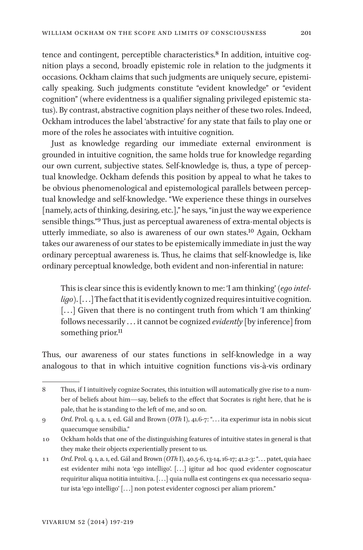tence and contingent, perceptible characteristics.<sup>8</sup> In addition, intuitive cognition plays a second, broadly epistemic role in relation to the judgments it occasions. Ockham claims that such judgments are uniquely secure, epistemically speaking. Such judgments constitute "evident knowledge" or "evident cognition" (where evidentness is a qualifier signaling privileged epistemic status). By contrast, abstractive cognition plays neither of these two roles. Indeed, Ockham introduces the label 'abstractive' for any state that fails to play one or more of the roles he associates with intuitive cognition.

Just as knowledge regarding our immediate external environment is grounded in intuitive cognition, the same holds true for knowledge regarding our own current, subjective states. Self-knowledge is, thus, a type of perceptual knowledge. Ockham defends this position by appeal to what he takes to be obvious phenomenological and epistemological parallels between perceptual knowledge and self-knowledge. "We experience these things in ourselves [namely, acts of thinking, desiring, etc.]," he says, "in just the way we experience sensible things."<sup>9</sup> Thus, just as perceptual awareness of extra-mental objects is utterly immediate, so also is awareness of our own states.10 Again, Ockham takes our awareness of our states to be epistemically immediate in just the way ordinary perceptual awareness is. Thus, he claims that self-knowledge is, like ordinary perceptual knowledge, both evident and non-inferential in nature:

This is clear since this is evidently known to me: 'I am thinking' (*ego intelligo*). [. . .] The fact that it is evidently cognized requires intuitive cognition. [...] Given that there is no contingent truth from which 'I am thinking' follows necessarily . . . it cannot be cognized *evidently* [by inference] from something prior.<sup>11</sup>

Thus, our awareness of our states functions in self-knowledge in a way analogous to that in which intuitive cognition functions vis-à-vis ordinary

<sup>8</sup> Thus, if I intuitively cognize Socrates, this intuition will automatically give rise to a number of beliefs about him—say, beliefs to the effect that Socrates is right here, that he is pale, that he is standing to the left of me, and so on.

<sup>9</sup> *Ord*. Prol. q. 1, a. 1, ed. Gál and Brown (*OTh* I), 41.6-7: ". . . ita experimur ista in nobis sicut quaecumque sensibilia."

<sup>10</sup> Ockham holds that one of the distinguishing features of intuitive states in general is that they make their objects experientially present to us.

<sup>11</sup> *Ord*. Prol. q. 1, a. 1, ed. Gál and Brown (*OTh* I), 40.5-6, 13-14, 16-17; 41.2-3: ". . . patet, quia haec est evidenter mihi nota 'ego intelligo'. [. . .] igitur ad hoc quod evidenter cognoscatur requiritur aliqua notitia intuitiva. [. . .] quia nulla est contingens ex qua necessario sequatur ista 'ego intelligo' [. . .] non potest evidenter cognosci per aliam priorem."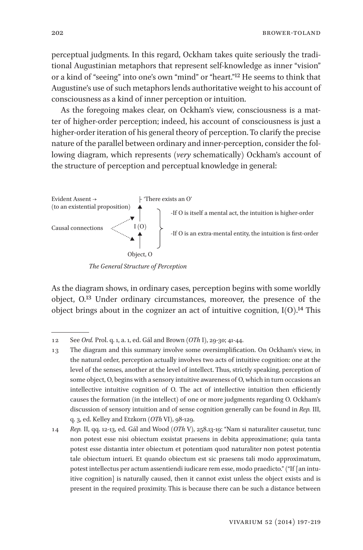perceptual judgments. In this regard, Ockham takes quite seriously the traditional Augustinian metaphors that represent self-knowledge as inner "vision" or a kind of "seeing" into one's own "mind" or "heart."12 He seems to think that Augustine's use of such metaphors lends authoritative weight to his account of consciousness as a kind of inner perception or intuition.

As the foregoing makes clear, on Ockham's view, consciousness is a matter of higher-order perception; indeed, his account of consciousness is just a higher-order iteration of his general theory of perception. To clarify the precise nature of the parallel between ordinary and inner-perception, consider the following diagram, which represents (*very* schematically) Ockham's account of the structure of perception and perceptual knowledge in general:



*The General Structure of Perception*

As the diagram shows, in ordinary cases, perception begins with some worldly object, O.13 Under ordinary circumstances, moreover, the presence of the object brings about in the cognizer an act of intuitive cognition,  $I(O)$ .<sup>14</sup> This

<sup>12</sup> See *Ord.* Prol. q. 1, a. 1, ed. Gál and Brown (*OTh* I), 29-30; 41-44.

<sup>13</sup> The diagram and this summary involve some oversimplification. On Ockham's view, in the natural order, perception actually involves two acts of intuitive cognition: one at the level of the senses, another at the level of intellect. Thus, strictly speaking, perception of some object, O, begins with a sensory intuitive awareness of O, which in turn occasions an intellective intuitive cognition of O. The act of intellective intuition then efficiently causes the formation (in the intellect) of one or more judgments regarding O. Ockham's discussion of sensory intuition and of sense cognition generally can be found in *Rep.* III, q. 3, ed. Kelley and Etzkorn (*OTh* VI), 98-129.

<sup>14</sup> *Rep.* II, qq. 12-13, ed. Gál and Wood (*OTh* V), 258.13-19: "Nam si naturaliter causetur, tunc non potest esse nisi obiectum exsistat praesens in debita approximatione; quia tanta potest esse distantia inter obiectum et potentiam quod naturaliter non potest potentia tale obiectum intueri. Et quando obiectum est sic praesens tali modo approximatum, potest intellectus per actum assentiendi iudicare rem esse, modo praedicto." ("If [an intuitive cognition] is naturally caused, then it cannot exist unless the object exists and is present in the required proximity. This is because there can be such a distance between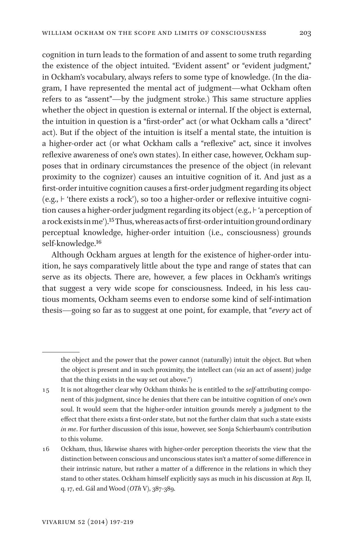cognition in turn leads to the formation of and assent to some truth regarding the existence of the object intuited. "Evident assent" or "evident judgment," in Ockham's vocabulary, always refers to some type of knowledge. (In the diagram, I have represented the mental act of judgment—what Ockham often refers to as "assent"—by the judgment stroke.) This same structure applies whether the object in question is external or internal. If the object is external, the intuition in question is a "first-order" act (or what Ockham calls a "direct" act). But if the object of the intuition is itself a mental state, the intuition is a higher-order act (or what Ockham calls a "reflexive" act, since it involves reflexive awareness of one's own states). In either case, however, Ockham supposes that in ordinary circumstances the presence of the object (in relevant proximity to the cognizer) causes an intuitive cognition of it. And just as a first-order intuitive cognition causes a first-order judgment regarding its object  $(e.g., \vdash 'there \ exists \ a \ rock')$ , so too a higher-order or reflexive intuitive cognition causes a higher-order judgment regarding its object (e.g.,  $\vdash$  'a perception of a rock exists in me').15 Thus, whereas acts of first-order intuition ground ordinary perceptual knowledge, higher-order intuition (i.e., consciousness) grounds self-knowledge.16

Although Ockham argues at length for the existence of higher-order intuition, he says comparatively little about the type and range of states that can serve as its objects. There are, however, a few places in Ockham's writings that suggest a very wide scope for consciousness. Indeed, in his less cautious moments, Ockham seems even to endorse some kind of self-intimation thesis—going so far as to suggest at one point, for example, that "*every* act of

the object and the power that the power cannot (naturally) intuit the object. But when the object is present and in such proximity, the intellect can (*via* an act of assent) judge that the thing exists in the way set out above.")

<sup>15</sup> It is not altogether clear why Ockham thinks he is entitled to the *self-*attributing component of this judgment, since he denies that there can be intuitive cognition of one's own soul. It would seem that the higher-order intuition grounds merely a judgment to the effect that there exists a first-order state, but not the further claim that such a state exists *in me*. For further discussion of this issue, however, see Sonja Schierbaum's contribution to this volume.

<sup>16</sup> Ockham, thus, likewise shares with higher-order perception theorists the view that the distinction between conscious and unconscious states isn't a matter of some difference in their intrinsic nature, but rather a matter of a difference in the relations in which they stand to other states. Ockham himself explicitly says as much in his discussion at *Rep.* II, q. 17, ed. Gál and Wood (*OTh* V), 387-389.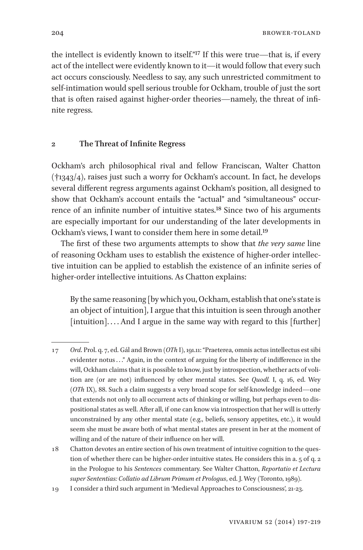the intellect is evidently known to itself."17 If this were true—that is, if every act of the intellect were evidently known to it—it would follow that every such act occurs consciously. Needless to say, any such unrestricted commitment to self-intimation would spell serious trouble for Ockham, trouble of just the sort that is often raised against higher-order theories—namely, the threat of infinite regress.

### **2 The Threat of Infinite Regress**

Ockham's arch philosophical rival and fellow Franciscan, Walter Chatton (†1343/4), raises just such a worry for Ockham's account. In fact, he develops several different regress arguments against Ockham's position, all designed to show that Ockham's account entails the "actual" and "simultaneous" occurrence of an infinite number of intuitive states.<sup>18</sup> Since two of his arguments are especially important for our understanding of the later developments in Ockham's views, I want to consider them here in some detail.19

The first of these two arguments attempts to show that *the very same* line of reasoning Ockham uses to establish the existence of higher-order intellective intuition can be applied to establish the existence of an infinite series of higher-order intellective intuitions. As Chatton explains:

By the same reasoning [by which you, Ockham, establish that one's state is an object of intuition], I argue that this intuition is seen through another [intuition]....And I argue in the same way with regard to this [further]

<sup>17</sup> *Ord*. Prol. q. 7, ed. Gál and Brown (*OTh* I), 191.11: "Praeterea, omnis actus intellectus est sibi evidenter notus . . ." Again, in the context of arguing for the liberty of indifference in the will, Ockham claims that it is possible to know, just by introspection, whether acts of volition are (or are not) influenced by other mental states. See *Quodl.* I, q. 16, ed. Wey (*OTh* IX), 88. Such a claim suggests a very broad scope for self-knowledge indeed—one that extends not only to all occurrent acts of thinking or willing, but perhaps even to dispositional states as well. After all, if one can know via introspection that her will is utterly unconstrained by any other mental state (e.g., beliefs, sensory appetites, etc.), it would seem she must be aware both of what mental states are present in her at the moment of willing and of the nature of their influence on her will.

<sup>18</sup> Chatton devotes an entire section of his own treatment of intuitive cognition to the question of whether there can be higher-order intuitive states. He considers this in a. 5 of q. 2 in the Prologue to his *Sentences* commentary. See Walter Chatton, *Reportatio et Lectura super Sententias: Collatio ad Librum Primum et Prologus*, ed. J. Wey (Toronto, 1989).

<sup>19</sup> I consider a third such argument in 'Medieval Approaches to Consciousness', 21-23.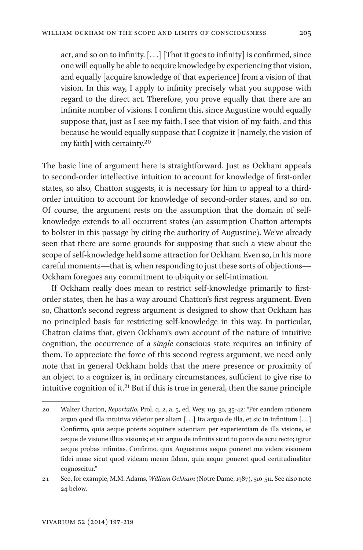act, and so on to infinity. [...] [That it goes to infinity] is confirmed, since one will equally be able to acquire knowledge by experiencing that vision, and equally [acquire knowledge of that experience] from a vision of that vision. In this way, I apply to infinity precisely what you suppose with regard to the direct act. Therefore, you prove equally that there are an infinite number of visions. I confirm this, since Augustine would equally suppose that, just as I see my faith, I see that vision of my faith, and this because he would equally suppose that I cognize it [namely, the vision of my faith] with certainty.20

The basic line of argument here is straightforward. Just as Ockham appeals to second-order intellective intuition to account for knowledge of first-order states, so also, Chatton suggests, it is necessary for him to appeal to a thirdorder intuition to account for knowledge of second-order states, and so on. Of course, the argument rests on the assumption that the domain of selfknowledge extends to all occurrent states (an assumption Chatton attempts to bolster in this passage by citing the authority of Augustine). We've already seen that there are some grounds for supposing that such a view about the scope of self-knowledge held some attraction for Ockham. Even so, in his more careful moments—that is, when responding to just these sorts of objections— Ockham foregoes any commitment to ubiquity or self-intimation.

If Ockham really does mean to restrict self-knowledge primarily to firstorder states, then he has a way around Chatton's first regress argument. Even so, Chatton's second regress argument is designed to show that Ockham has no principled basis for restricting self-knowledge in this way. In particular, Chatton claims that, given Ockham's own account of the nature of intuitive cognition, the occurrence of a *single* conscious state requires an infinity of them. To appreciate the force of this second regress argument, we need only note that in general Ockham holds that the mere presence or proximity of an object to a cognizer is, in ordinary circumstances, sufficient to give rise to intuitive cognition of it.<sup>21</sup> But if this is true in general, then the same principle

<sup>20</sup> Walter Chatton, *Reportatio*, Prol. q. 2, a. 5, ed. Wey, 119. 32, 35-42: "Per eandem rationem arguo quod illa intuitiva videtur per aliam [. . .] Ita arguo de illa, et sic in infinitum [. . .] Confirmo, quia aeque poteris acquirere scientiam per experientiam de illa visione, et aeque de visione illius visionis; et sic arguo de infinitis sicut tu ponis de actu recto; igitur aeque probas infinitas. Confirmo, quia Augustinus aeque poneret me videre visionem fidei meae sicut quod videam meam fidem, quia aeque poneret quod certitudinaliter cognoscitur."

<sup>21</sup> See, for example, M.M. Adams, *William Ockham* (Notre Dame, 1987), 510-511. See also note 24 below.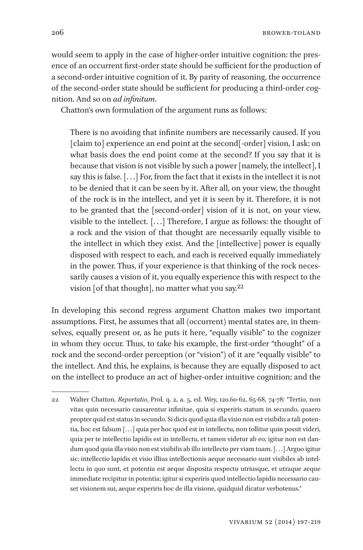206 browser-to-contract to the set of the set of the set of the set of the set of the set of the set of the set of the set of the set of the set of the set of the set of the set of the set of the set of the set of the set

would seem to apply in the case of higher-order intuitive cognition: the presence of an occurrent first-order state should be sufficient for the production of a second-order intuitive cognition of it. By parity of reasoning, the occurrence of the second-order state should be sufficient for producing a third-order cognition. And so on *ad infinitum*.

Chatton's own formulation of the argument runs as follows:

There is no avoiding that infinite numbers are necessarily caused. If you [claim to] experience an end point at the second<sup>[</sup>-order] vision, I ask: on what basis does the end point come at the second? If you say that it is because that vision is not visible by such a power [namely, the intellect], I say this is false. [. . .] For, from the fact that it exists in the intellect it is not to be denied that it can be seen by it. After all, on your view, the thought of the rock is in the intellect, and yet it is seen by it. Therefore, it is not to be granted that the [second-order] vision of it is not, on your view, visible to the intellect. [. . .] Therefore, I argue as follows: the thought of a rock and the vision of that thought are necessarily equally visible to the intellect in which they exist. And the [intellective] power is equally disposed with respect to each, and each is received equally immediately in the power. Thus, if your experience is that thinking of the rock necessarily causes a vision of it, you equally experience this with respect to the vision [of that thought], no matter what you say. $22$ 

In developing this second regress argument Chatton makes two important assumptions. First, he assumes that all (occurrent) mental states are, in themselves, equally present or, as he puts it here, "equally visible" to the cognizer in whom they occur. Thus, to take his example, the first-order "thought" of a rock and the second-order perception (or "vision") of it are "equally visible" to the intellect. And this, he explains, is because they are equally disposed to act on the intellect to produce an act of higher-order intuitive cognition; and the

<sup>22</sup> Walter Chatton, *Reportatio*, Prol. q. 2, a. 5, ed. Wey, 120.60-62, 65-68, 74-78: "Tertio, non vitas quin necessario causarentur infinitae, quia si experiris statum in secundo, quaero propter quid est status in secundo. Si dicis quod quia illa visio non est visibilis a tali potentia, hoc est falsum [. . .] quia per hoc quod est in intellectu, non tollitur quin possit videri, quia per te intellectio lapidis est in intellectu, et tamen videtur ab eo; igitur non est dandum quod quia illa visio non est visibilis ab illo intellecto per viam tuam. [. . .] Arguo igitur sic: intellectio lapidis et visio illius intellectionis aeque necessario sunt visibiles ab intellectu in quo sunt, et potentia est aeque disposita respectu utriusque, et utraque aeque immediate recipitur in potentia; igitur si experiris quod intellectio lapidis necessario causet visionem sui, aeque experiris hoc de illa visione, quidquid dicatur verbotenus."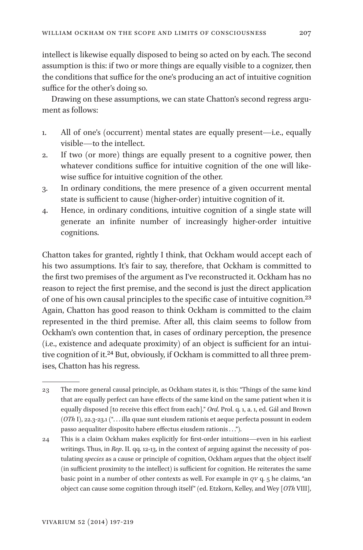intellect is likewise equally disposed to being so acted on by each. The second assumption is this: if two or more things are equally visible to a cognizer, then the conditions that suffice for the one's producing an act of intuitive cognition suffice for the other's doing so.

Drawing on these assumptions, we can state Chatton's second regress argument as follows:

- 1. All of one's (occurrent) mental states are equally present—i.e., equally visible—to the intellect.
- 2. If two (or more) things are equally present to a cognitive power, then whatever conditions suffice for intuitive cognition of the one will likewise suffice for intuitive cognition of the other.
- 3. In ordinary conditions, the mere presence of a given occurrent mental state is sufficient to cause (higher-order) intuitive cognition of it.
- 4. Hence, in ordinary conditions, intuitive cognition of a single state will generate an infinite number of increasingly higher-order intuitive cognitions.

Chatton takes for granted, rightly I think, that Ockham would accept each of his two assumptions. It's fair to say, therefore, that Ockham is committed to the first two premises of the argument as I've reconstructed it. Ockham has no reason to reject the first premise, and the second is just the direct application of one of his own causal principles to the specific case of intuitive cognition.23 Again, Chatton has good reason to think Ockham is committed to the claim represented in the third premise. After all, this claim seems to follow from Ockham's own contention that, in cases of ordinary perception, the presence (i.e., existence and adequate proximity) of an object is sufficient for an intuitive cognition of it.<sup>24</sup> But, obviously, if Ockham is committed to all three premises, Chatton has his regress.

<sup>23</sup> The more general causal principle, as Ockham states it, is this: "Things of the same kind that are equally perfect can have effects of the same kind on the same patient when it is equally disposed [to receive this effect from each]." *Ord*. Prol. q. 1, a. 1, ed. Gál and Brown (*OTh* I), 22.3-23.1 (". . . illa quae sunt eiusdem rationis et aeque perfecta possunt in eodem passo aequaliter disposito habere effectus eiusdem rationis . . .").

<sup>24</sup> This is a claim Ockham makes explicitly for first-order intuitions—even in his earliest writings. Thus, in *Rep*. II. qq. 12-13, in the context of arguing against the necessity of postulating *species* as a cause or principle of cognition, Ockham argues that the object itself (in sufficient proximity to the intellect) is sufficient for cognition. He reiterates the same basic point in a number of other contexts as well. For example in *QV* q. 5 he claims, "an object can cause some cognition through itself" (ed. Etzkorn, Kelley, and Wey [*OTh* VIII],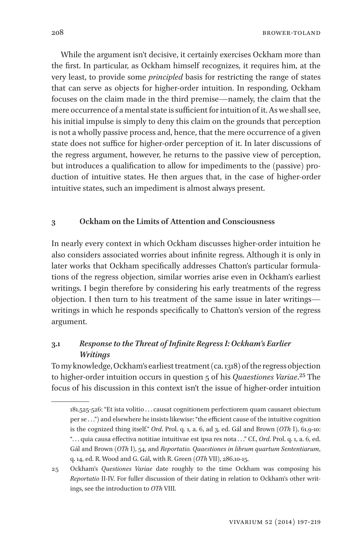208 browser-to-contract to the set of the set of the set of the set of the set of the set of the set of the set of the set of the set of the set of the set of the set of the set of the set of the set of the set of the set

While the argument isn't decisive, it certainly exercises Ockham more than the first. In particular, as Ockham himself recognizes, it requires him, at the very least, to provide some *principled* basis for restricting the range of states that can serve as objects for higher-order intuition. In responding, Ockham focuses on the claim made in the third premise—namely, the claim that the mere occurrence of a mental state is sufficient for intuition of it. As we shall see, his initial impulse is simply to deny this claim on the grounds that perception is not a wholly passive process and, hence, that the mere occurrence of a given state does not suffice for higher-order perception of it. In later discussions of the regress argument, however, he returns to the passive view of perception, but introduces a qualification to allow for impediments to the (passive) production of intuitive states. He then argues that, in the case of higher-order intuitive states, such an impediment is almost always present.

### **3 Ockham on the Limits of Attention and Consciousness**

In nearly every context in which Ockham discusses higher-order intuition he also considers associated worries about infinite regress. Although it is only in later works that Ockham specifically addresses Chatton's particular formulations of the regress objection, similar worries arise even in Ockham's earliest writings. I begin therefore by considering his early treatments of the regress objection. I then turn to his treatment of the same issue in later writings writings in which he responds specifically to Chatton's version of the regress argument.

## **3.1** *Response to the Threat of Infinite Regress I: Ockham's Earlier Writings*

To my knowledge, Ockham's earliest treatment (ca. 1318) of the regress objection to higher-order intuition occurs in question 5 of his *Quaestiones Variae*.25 The focus of his discussion in this context isn't the issue of higher-order intuition

<sup>181.525-526: &</sup>quot;Et ista volitio . . . causat cognitionem perfectiorem quam causaret obiectum per se . . .") and elsewhere he insists likewise: "the efficient cause of the intuitive cognition is the cognized thing itself." *Ord*. Prol. q. 1, a. 6, ad 3, ed. Gál and Brown (*OTh* I), 61.9-10: ". . . quia causa effectiva notitiae intuitivae est ipsa res nota . . ." Cf., *Ord*. Prol. q. 1, a. 6, ed. Gál and Brown (*OTh* I), 54, and *Reportatio. Quaestiones in librum quartum Sententiarum*, q. 14, ed. R. Wood and G. Gál, with R. Green (*OTh* VII), 286.10-15.

<sup>25</sup> Ockham's *Questiones Variae* date roughly to the time Ockham was composing his *Reportatio* II-IV. For fuller discussion of their dating in relation to Ockham's other writings, see the introduction to *OTh* VIII.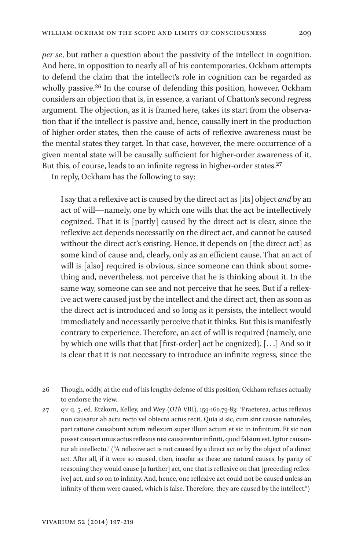*per se*, but rather a question about the passivity of the intellect in cognition. And here, in opposition to nearly all of his contemporaries, Ockham attempts to defend the claim that the intellect's role in cognition can be regarded as wholly passive.<sup>26</sup> In the course of defending this position, however, Ockham considers an objection that is, in essence, a variant of Chatton's second regress argument. The objection, as it is framed here, takes its start from the observation that if the intellect is passive and, hence, causally inert in the production of higher-order states, then the cause of acts of reflexive awareness must be the mental states they target. In that case, however, the mere occurrence of a given mental state will be causally sufficient for higher-order awareness of it. But this, of course, leads to an infinite regress in higher-order states.<sup>27</sup>

In reply, Ockham has the following to say:

I say that a reflexive act is caused by the direct act as [its] object *and* by an act of will—namely, one by which one wills that the act be intellectively cognized. That it is [partly] caused by the direct act is clear, since the reflexive act depends necessarily on the direct act, and cannot be caused without the direct act's existing. Hence, it depends on [the direct act] as some kind of cause and, clearly, only as an efficient cause. That an act of will is [also] required is obvious, since someone can think about something and, nevertheless, not perceive that he is thinking about it. In the same way, someone can see and not perceive that he sees. But if a reflexive act were caused just by the intellect and the direct act, then as soon as the direct act is introduced and so long as it persists, the intellect would immediately and necessarily perceive that it thinks. But this is manifestly contrary to experience. Therefore, an act of will is required (namely, one by which one wills that that [first-order] act be cognized). [. . .] And so it is clear that it is not necessary to introduce an infinite regress, since the

<sup>26</sup> Though, oddly, at the end of his lengthy defense of this position, Ockham refuses actually to endorse the view.

<sup>27</sup> *QV* q. 5, ed. Etzkorn, Kelley, and Wey (*OTh* VIII), 159-160.79-83: "Praeterea, actus reflexus non causatur ab actu recto vel obiecto actus recti. Quia si sic, cum sint causae naturales, pari ratione causabunt actum reflexum super illum actum et sic in infinitum. Et sic non posset causari unus actus reflexus nisi causarentur infiniti, quod falsum est. Igitur causantur ab intellectu." ("A reflexive act is not caused by a direct act or by the object of a direct act. After all, if it were so caused, then, insofar as these are natural causes, by parity of reasoning they would cause [a further] act, one that is reflexive on that [preceding reflexive] act, and so on to infinity. And, hence, one reflexive act could not be caused unless an infinity of them were caused, which is false. Therefore, they are caused by the intellect.")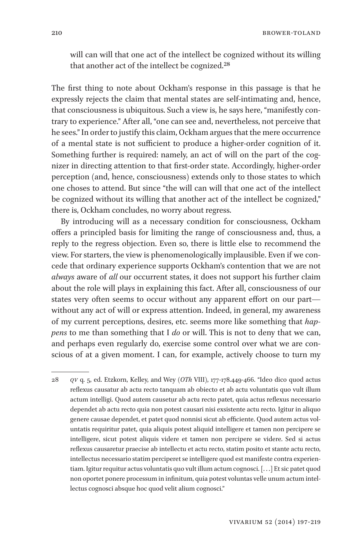210 browser to brow the contract of the BROWER-TOLAND

will can will that one act of the intellect be cognized without its willing that another act of the intellect be cognized.28

The first thing to note about Ockham's response in this passage is that he expressly rejects the claim that mental states are self-intimating and, hence, that consciousness is ubiquitous. Such a view is, he says here, "manifestly contrary to experience." After all, "one can see and, nevertheless, not perceive that he sees." In order to justify this claim, Ockham argues that the mere occurrence of a mental state is not sufficient to produce a higher-order cognition of it. Something further is required: namely, an act of will on the part of the cognizer in directing attention to that first-order state. Accordingly, higher-order perception (and, hence, consciousness) extends only to those states to which one choses to attend. But since "the will can will that one act of the intellect be cognized without its willing that another act of the intellect be cognized," there is, Ockham concludes, no worry about regress.

By introducing will as a necessary condition for consciousness, Ockham offers a principled basis for limiting the range of consciousness and, thus, a reply to the regress objection. Even so, there is little else to recommend the view. For starters, the view is phenomenologically implausible. Even if we concede that ordinary experience supports Ockham's contention that we are not *always* aware of *all* our occurrent states, it does not support his further claim about the role will plays in explaining this fact. After all, consciousness of our states very often seems to occur without any apparent effort on our part without any act of will or express attention. Indeed, in general, my awareness of my current perceptions, desires, etc. seems more like something that *happens* to me than something that I *do* or will. This is not to deny that we can, and perhaps even regularly do, exercise some control over what we are conscious of at a given moment. I can, for example, actively choose to turn my

<sup>28</sup> *QV* q. 5, ed. Etzkorn, Kelley, and Wey (*OTh* VIII), 177-178.449-466. "Ideo dico quod actus reflexus causatur ab actu recto tanquam ab obiecto et ab actu voluntatis quo vult illum actum intelligi. Quod autem causetur ab actu recto patet, quia actus reflexus necessario dependet ab actu recto quia non potest causari nisi exsistente actu recto. Igitur in aliquo genere causae dependet, et patet quod nonnisi sicut ab efficiente. Quod autem actus voluntatis requiritur patet, quia aliquis potest aliquid intelligere et tamen non percipere se intelligere, sicut potest aliquis videre et tamen non percipere se videre. Sed si actus reflexus causaretur praecise ab intellectu et actu recto, statim posito et stante actu recto, intellectus necessario statim perciperet se intelligere quod est manifeste contra experientiam. Igitur requitur actus voluntatis quo vult illum actum cognosci. [. . .] Et sic patet quod non oportet ponere processum in infinitum, quia potest voluntas velle unum actum intellectus cognosci absque hoc quod velit alium cognosci."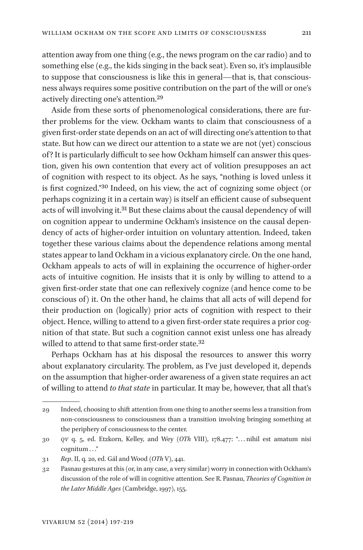attention away from one thing (e.g., the news program on the car radio) and to something else (e.g., the kids singing in the back seat). Even so, it's implausible to suppose that consciousness is like this in general—that is, that consciousness always requires some positive contribution on the part of the will or one's actively directing one's attention.29

Aside from these sorts of phenomenological considerations, there are further problems for the view. Ockham wants to claim that consciousness of a given first-order state depends on an act of will directing one's attention to that state. But how can we direct our attention to a state we are not (yet) conscious of? It is particularly difficult to see how Ockham himself can answer this question, given his own contention that every act of volition presupposes an act of cognition with respect to its object. As he says, "nothing is loved unless it is first cognized."30 Indeed, on his view, the act of cognizing some object (or perhaps cognizing it in a certain way) is itself an efficient cause of subsequent acts of will involving it.<sup>31</sup> But these claims about the causal dependency of will on cognition appear to undermine Ockham's insistence on the causal dependency of acts of higher-order intuition on voluntary attention. Indeed, taken together these various claims about the dependence relations among mental states appear to land Ockham in a vicious explanatory circle. On the one hand, Ockham appeals to acts of will in explaining the occurrence of higher-order acts of intuitive cognition. He insists that it is only by willing to attend to a given first-order state that one can reflexively cognize (and hence come to be conscious of) it. On the other hand, he claims that all acts of will depend for their production on (logically) prior acts of cognition with respect to their object. Hence, willing to attend to a given first-order state requires a prior cognition of that state. But such a cognition cannot exist unless one has already willed to attend to that same first-order state.<sup>32</sup>

Perhaps Ockham has at his disposal the resources to answer this worry about explanatory circularity. The problem, as I've just developed it, depends on the assumption that higher-order awareness of a given state requires an act of willing to attend *to that state* in particular. It may be, however, that all that's

<sup>29</sup> Indeed, choosing to shift attention from one thing to another seems less a transition from non-consciousness to consciousness than a transition involving bringing something at the periphery of consciousness to the center.

<sup>30</sup> *QV* q. 5, ed. Etzkorn, Kelley, and Wey (*OTh* VIII), 178.477: ". . . nihil est amatum nisi cognitum . . ."

<sup>31</sup> *Rep*. II, q. 20, ed. Gál and Wood (*OTh* V), 441.

<sup>32</sup> Pasnau gestures at this (or, in any case, a very similar) worry in connection with Ockham's discussion of the role of will in cognitive attention. See R. Pasnau, *Theories of Cognition in the Later Middle Ages* (Cambridge, 1997), 155.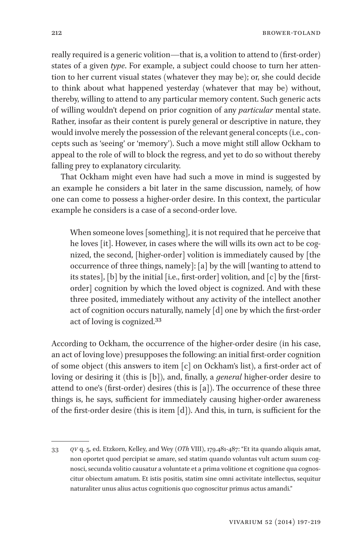212 browser to brow the contract of the second property in the second property of the second property in the second property of the second property of the second property of the second property of the second property of th

really required is a generic volition—that is, a volition to attend to (first-order) states of a given *type*. For example, a subject could choose to turn her attention to her current visual states (whatever they may be); or, she could decide to think about what happened yesterday (whatever that may be) without, thereby, willing to attend to any particular memory content. Such generic acts of willing wouldn't depend on prior cognition of any *particular* mental state. Rather, insofar as their content is purely general or descriptive in nature, they would involve merely the possession of the relevant general concepts (i.e., concepts such as 'seeing' or 'memory'). Such a move might still allow Ockham to appeal to the role of will to block the regress, and yet to do so without thereby falling prey to explanatory circularity.

That Ockham might even have had such a move in mind is suggested by an example he considers a bit later in the same discussion, namely, of how one can come to possess a higher-order desire. In this context, the particular example he considers is a case of a second-order love.

When someone loves [something], it is not required that he perceive that he loves [it]. However, in cases where the will wills its own act to be cognized, the second, [higher-order] volition is immediately caused by [the occurrence of three things, namely]: [a] by the will [wanting to attend to its states], [b] by the initial [i.e., first-order] volition, and [c] by the [firstorder] cognition by which the loved object is cognized. And with these three posited, immediately without any activity of the intellect another act of cognition occurs naturally, namely [d] one by which the first-order act of loving is cognized.33

According to Ockham, the occurrence of the higher-order desire (in his case, an act of loving love) presupposes the following: an initial first-order cognition of some object (this answers to item [c] on Ockham's list), a first-order act of loving or desiring it (this is [b]), and, finally, a *general* higher-order desire to attend to one's (first-order) desires (this is [a]). The occurrence of these three things is, he says, sufficient for immediately causing higher-order awareness of the first-order desire (this is item [d]). And this, in turn, is sufficient for the

<sup>33</sup> *QV* q. 5, ed. Etzkorn, Kelley, and Wey (*OTh* VIII), 179.481-487: "Et ita quando aliquis amat, non oportet quod percipiat se amare, sed statim quando voluntas vult actum suum cognosci, secunda volitio causatur a voluntate et a prima volitione et cognitione qua cognoscitur obiectum amatum. Et istis positis, statim sine omni activitate intellectus, sequitur naturaliter unus alius actus cognitionis quo cognoscitur primus actus amandi."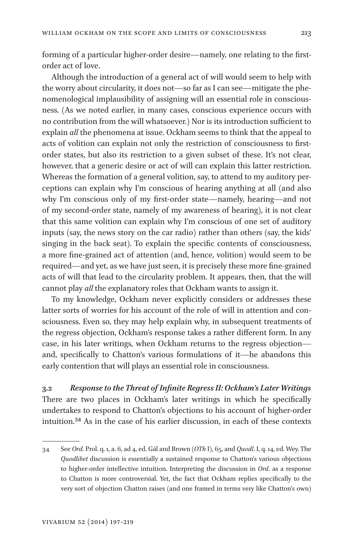forming of a particular higher-order desire—namely, one relating to the firstorder act of love.

Although the introduction of a general act of will would seem to help with the worry about circularity, it does not—so far as I can see—mitigate the phenomenological implausibility of assigning will an essential role in consciousness. (As we noted earlier, in many cases, conscious experience occurs with no contribution from the will whatsoever.) Nor is its introduction sufficient to explain *all* the phenomena at issue. Ockham seems to think that the appeal to acts of volition can explain not only the restriction of consciousness to firstorder states, but also its restriction to a given subset of these. It's not clear, however, that a generic desire or act of will can explain this latter restriction. Whereas the formation of a general volition, say, to attend to my auditory perceptions can explain why I'm conscious of hearing anything at all (and also why I'm conscious only of my first-order state—namely, hearing—and not of my second-order state, namely of my awareness of hearing), it is not clear that this same volition can explain why I'm conscious of one set of auditory inputs (say, the news story on the car radio) rather than others (say, the kids' singing in the back seat). To explain the specific contents of consciousness, a more fine-grained act of attention (and, hence, volition) would seem to be required—and yet, as we have just seen, it is precisely these more fine-grained acts of will that lead to the circularity problem. It appears, then, that the will cannot play *all* the explanatory roles that Ockham wants to assign it.

To my knowledge, Ockham never explicitly considers or addresses these latter sorts of worries for his account of the role of will in attention and consciousness. Even so, they may help explain why, in subsequent treatments of the regress objection, Ockham's response takes a rather different form. In any case, in his later writings, when Ockham returns to the regress objection and, specifically to Chatton's various formulations of it—he abandons this early contention that will plays an essential role in consciousness.

**3.2** *Response to the Threat of Infinite Regress II: Ockham's Later Writings* There are two places in Ockham's later writings in which he specifically undertakes to respond to Chatton's objections to his account of higher-order intuition.34 As in the case of his earlier discussion, in each of these contexts

<sup>34</sup> See *Ord.* Prol. q. 1, a. 6, ad 4, ed. Gál and Brown (*OTh* I), 65, and *Quodl*. I, q. 14, ed. Wey. The *Quodlibet* discussion is essentially a sustained response to Chatton's various objections to higher-order intellective intuition. Interpreting the discussion in *Ord*. as a response to Chatton is more controversial. Yet, the fact that Ockham replies specifically to the very sort of objection Chatton raises (and one framed in terms very like Chatton's own)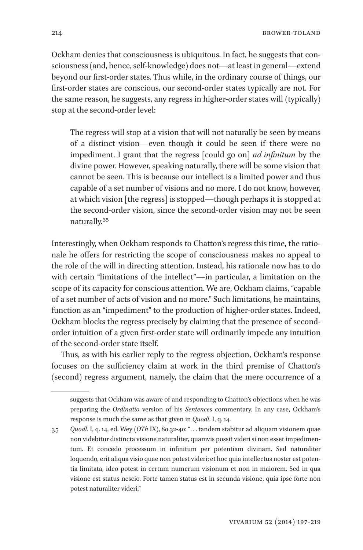Ockham denies that consciousness is ubiquitous. In fact, he suggests that consciousness (and, hence, self-knowledge) does not—at least in general—extend beyond our first-order states. Thus while, in the ordinary course of things, our first-order states are conscious, our second-order states typically are not. For the same reason, he suggests, any regress in higher-order states will (typically) stop at the second-order level:

The regress will stop at a vision that will not naturally be seen by means of a distinct vision—even though it could be seen if there were no impediment. I grant that the regress [could go on] *ad infinitum* by the divine power. However, speaking naturally, there will be some vision that cannot be seen. This is because our intellect is a limited power and thus capable of a set number of visions and no more. I do not know, however, at which vision [the regress] is stopped—though perhaps it is stopped at the second-order vision, since the second-order vision may not be seen naturally.35

Interestingly, when Ockham responds to Chatton's regress this time, the rationale he offers for restricting the scope of consciousness makes no appeal to the role of the will in directing attention. Instead, his rationale now has to do with certain "limitations of the intellect"—in particular, a limitation on the scope of its capacity for conscious attention. We are, Ockham claims, "capable of a set number of acts of vision and no more." Such limitations, he maintains, function as an "impediment" to the production of higher-order states. Indeed, Ockham blocks the regress precisely by claiming that the presence of secondorder intuition of a given first-order state will ordinarily impede any intuition of the second-order state itself.

Thus, as with his earlier reply to the regress objection, Ockham's response focuses on the sufficiency claim at work in the third premise of Chatton's (second) regress argument, namely, the claim that the mere occurrence of a

suggests that Ockham was aware of and responding to Chatton's objections when he was preparing the *Ordinatio* version of his *Sentences* commentary. In any case, Ockham's response is much the same as that given in *Quodl*. I, q. 14.

<sup>35</sup> *Quodl.* I, q. 14, ed. Wey (*OTh* IX), 80.32-40: ". . . tandem stabitur ad aliquam visionem quae non videbitur distincta visione naturaliter, quamvis possit videri si non esset impedimentum. Et concedo processum in infinitum per potentiam divinam. Sed naturaliter loquendo, erit aliqua visio quae non potest videri; et hoc quia intellectus noster est potentia limitata, ideo potest in certum numerum visionum et non in maiorem. Sed in qua visione est status nescio. Forte tamen status est in secunda visione, quia ipse forte non potest naturaliter videri."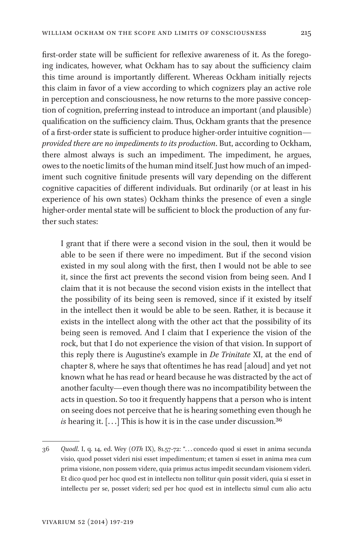first-order state will be sufficient for reflexive awareness of it. As the foregoing indicates, however, what Ockham has to say about the sufficiency claim this time around is importantly different. Whereas Ockham initially rejects this claim in favor of a view according to which cognizers play an active role in perception and consciousness, he now returns to the more passive conception of cognition, preferring instead to introduce an important (and plausible) qualification on the sufficiency claim. Thus, Ockham grants that the presence of a first-order state is sufficient to produce higher-order intuitive cognition *provided there are no impediments to its production*. But, according to Ockham, there almost always is such an impediment. The impediment, he argues, owes to the noetic limits of the human mind itself. Just how much of an impediment such cognitive finitude presents will vary depending on the different cognitive capacities of different individuals. But ordinarily (or at least in his experience of his own states) Ockham thinks the presence of even a single higher-order mental state will be sufficient to block the production of any further such states:

I grant that if there were a second vision in the soul, then it would be able to be seen if there were no impediment. But if the second vision existed in my soul along with the first, then I would not be able to see it, since the first act prevents the second vision from being seen. And I claim that it is not because the second vision exists in the intellect that the possibility of its being seen is removed, since if it existed by itself in the intellect then it would be able to be seen. Rather, it is because it exists in the intellect along with the other act that the possibility of its being seen is removed. And I claim that I experience the vision of the rock, but that I do not experience the vision of that vision. In support of this reply there is Augustine's example in *De Trinitate* XI, at the end of chapter 8, where he says that oftentimes he has read [aloud] and yet not known what he has read or heard because he was distracted by the act of another faculty—even though there was no incompatibility between the acts in question. So too it frequently happens that a person who is intent on seeing does not perceive that he is hearing something even though he *is* hearing it. [...] This is how it is in the case under discussion.<sup>36</sup>

<sup>36</sup> *Quodl*. I, q. 14, ed. Wey (*OTh* IX), 81.57-72: ". . . concedo quod si esset in anima secunda visio, quod posset videri nisi esset impedimentum; et tamen si esset in anima mea cum prima visione, non possem videre, quia primus actus impedit secundam visionem videri. Et dico quod per hoc quod est in intellectu non tollitur quin possit videri, quia si esset in intellectu per se, posset videri; sed per hoc quod est in intellectu simul cum alio actu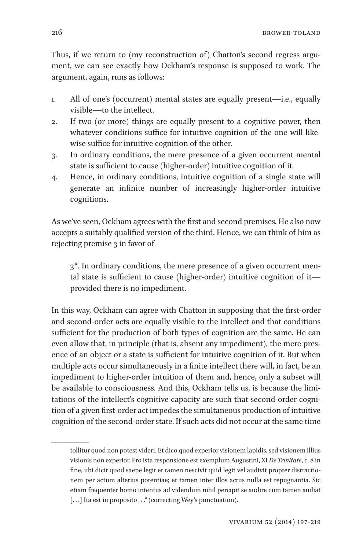Thus, if we return to (my reconstruction of) Chatton's second regress argument, we can see exactly how Ockham's response is supposed to work. The argument, again, runs as follows:

- 1. All of one's (occurrent) mental states are equally present—i.e., equally visible—to the intellect.
- 2. If two (or more) things are equally present to a cognitive power, then whatever conditions suffice for intuitive cognition of the one will likewise suffice for intuitive cognition of the other.
- 3. In ordinary conditions, the mere presence of a given occurrent mental state is sufficient to cause (higher-order) intuitive cognition of it.
- 4. Hence, in ordinary conditions, intuitive cognition of a single state will generate an infinite number of increasingly higher-order intuitive cognitions.

As we've seen, Ockham agrees with the first and second premises. He also now accepts a suitably qualified version of the third. Hence, we can think of him as rejecting premise 3 in favor of

 $3^*$ . In ordinary conditions, the mere presence of a given occurrent mental state is sufficient to cause (higher-order) intuitive cognition of it provided there is no impediment.

In this way, Ockham can agree with Chatton in supposing that the first-order and second-order acts are equally visible to the intellect and that conditions sufficient for the production of both types of cognition are the same. He can even allow that, in principle (that is, absent any impediment), the mere presence of an object or a state is sufficient for intuitive cognition of it. But when multiple acts occur simultaneously in a finite intellect there will, in fact, be an impediment to higher-order intuition of them and, hence, only a subset will be available to consciousness. And this, Ockham tells us, is because the limitations of the intellect's cognitive capacity are such that second-order cognition of a given first-order act impedes the simultaneous production of intuitive cognition of the second-order state. If such acts did not occur at the same time

tollitur quod non potest videri. Et dico quod experior visionem lapidis, sed visionem illius visionis non experior. Pro ista responsione est exemplum Augustini, XI *De Trinitate*, c. 8 in fine, ubi dicit quod saepe legit et tamen nescivit quid legit vel audivit propter distractionem per actum alterius potentiae; et tamen inter illos actus nulla est repugnantia. Sic etiam frequenter homo intentus ad videndum nihil percipit se audire cum tamen audiat [...] Ita est in proposito ..." (correcting Wey's punctuation).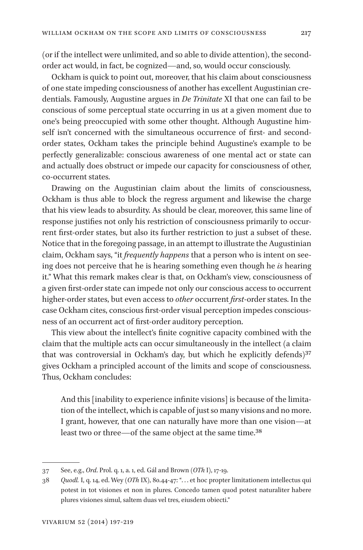(or if the intellect were unlimited, and so able to divide attention), the secondorder act would, in fact, be cognized—and, so, would occur consciously.

Ockham is quick to point out, moreover, that his claim about consciousness of one state impeding consciousness of another has excellent Augustinian credentials. Famously, Augustine argues in *De Trinitate* XI that one can fail to be conscious of some perceptual state occurring in us at a given moment due to one's being preoccupied with some other thought. Although Augustine himself isn't concerned with the simultaneous occurrence of first- and secondorder states, Ockham takes the principle behind Augustine's example to be perfectly generalizable: conscious awareness of one mental act or state can and actually does obstruct or impede our capacity for consciousness of other, co-occurrent states.

Drawing on the Augustinian claim about the limits of consciousness, Ockham is thus able to block the regress argument and likewise the charge that his view leads to absurdity. As should be clear, moreover, this same line of response justifies not only his restriction of consciousness primarily to occurrent first-order states, but also its further restriction to just a subset of these. Notice that in the foregoing passage, in an attempt to illustrate the Augustinian claim, Ockham says, "it *frequently happens* that a person who is intent on seeing does not perceive that he is hearing something even though he *is* hearing it." What this remark makes clear is that, on Ockham's view, consciousness of a given first-order state can impede not only our conscious access to occurrent higher-order states, but even access to *other* occurrent *first*-order states. In the case Ockham cites, conscious first-order visual perception impedes consciousness of an occurrent act of first-order auditory perception.

This view about the intellect's finite cognitive capacity combined with the claim that the multiple acts can occur simultaneously in the intellect (a claim that was controversial in Ockham's day, but which he explicitly defends)<sup>37</sup> gives Ockham a principled account of the limits and scope of consciousness. Thus, Ockham concludes:

And this [inability to experience infinite visions] is because of the limitation of the intellect, which is capable of just so many visions and no more. I grant, however, that one can naturally have more than one vision—at least two or three—of the same object at the same time.<sup>38</sup>

<sup>37</sup> See, e.g., *Ord*. Prol. q. 1, a. 1, ed. Gál and Brown (*OTh* I), 17-19.

<sup>38</sup> *Quodl.* I, q. 14, ed. Wey (*OTh* IX), 80.44-47: ". . . et hoc propter limitationem intellectus qui potest in tot visiones et non in plures. Concedo tamen quod potest naturaliter habere plures visiones simul, saltem duas vel tres, eiusdem obiecti."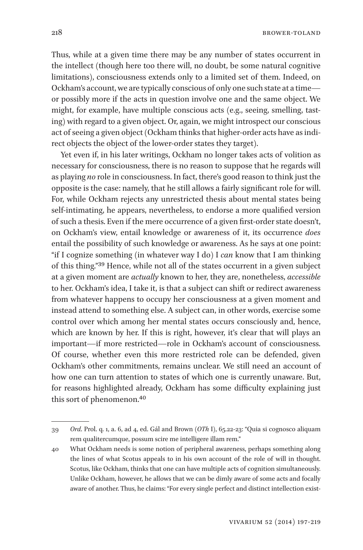Thus, while at a given time there may be any number of states occurrent in the intellect (though here too there will, no doubt, be some natural cognitive limitations), consciousness extends only to a limited set of them. Indeed, on Ockham's account, we are typically conscious of only one such state at a time or possibly more if the acts in question involve one and the same object. We might, for example, have multiple conscious acts (e.g., seeing, smelling, tasting) with regard to a given object. Or, again, we might introspect our conscious act of seeing a given object (Ockham thinks that higher-order acts have as indirect objects the object of the lower-order states they target).

Yet even if, in his later writings, Ockham no longer takes acts of volition as necessary for consciousness, there is no reason to suppose that he regards will as playing *no* role in consciousness. In fact, there's good reason to think just the opposite is the case: namely, that he still allows a fairly significant role for will. For, while Ockham rejects any unrestricted thesis about mental states being self-intimating, he appears, nevertheless, to endorse a more qualified version of such a thesis. Even if the mere occurrence of a given first-order state doesn't, on Ockham's view, entail knowledge or awareness of it, its occurrence *does* entail the possibility of such knowledge or awareness. As he says at one point: "if I cognize something (in whatever way I do) I *can* know that I am thinking of this thing."39 Hence, while not all of the states occurrent in a given subject at a given moment are *actually* known to her, they are, nonetheless, *accessible* to her. Ockham's idea, I take it, is that a subject can shift or redirect awareness from whatever happens to occupy her consciousness at a given moment and instead attend to something else. A subject can, in other words, exercise some control over which among her mental states occurs consciously and, hence, which are known by her. If this is right, however, it's clear that will plays an important—if more restricted—role in Ockham's account of consciousness. Of course, whether even this more restricted role can be defended, given Ockham's other commitments, remains unclear. We still need an account of how one can turn attention to states of which one is currently unaware. But, for reasons highlighted already, Ockham has some difficulty explaining just this sort of phenomenon.40

<sup>39</sup> *Ord*. Prol. q. 1, a. 6, ad 4, ed. Gál and Brown (*OTh* I), 65.22-23: "Quia si cognosco aliquam rem qualitercumque, possum scire me intelligere illam rem."

<sup>40</sup> What Ockham needs is some notion of peripheral awareness, perhaps something along the lines of what Scotus appeals to in his own account of the role of will in thought. Scotus, like Ockham, thinks that one can have multiple acts of cognition simultaneously. Unlike Ockham, however, he allows that we can be dimly aware of some acts and focally aware of another. Thus, he claims: "For every single perfect and distinct intellection exist-